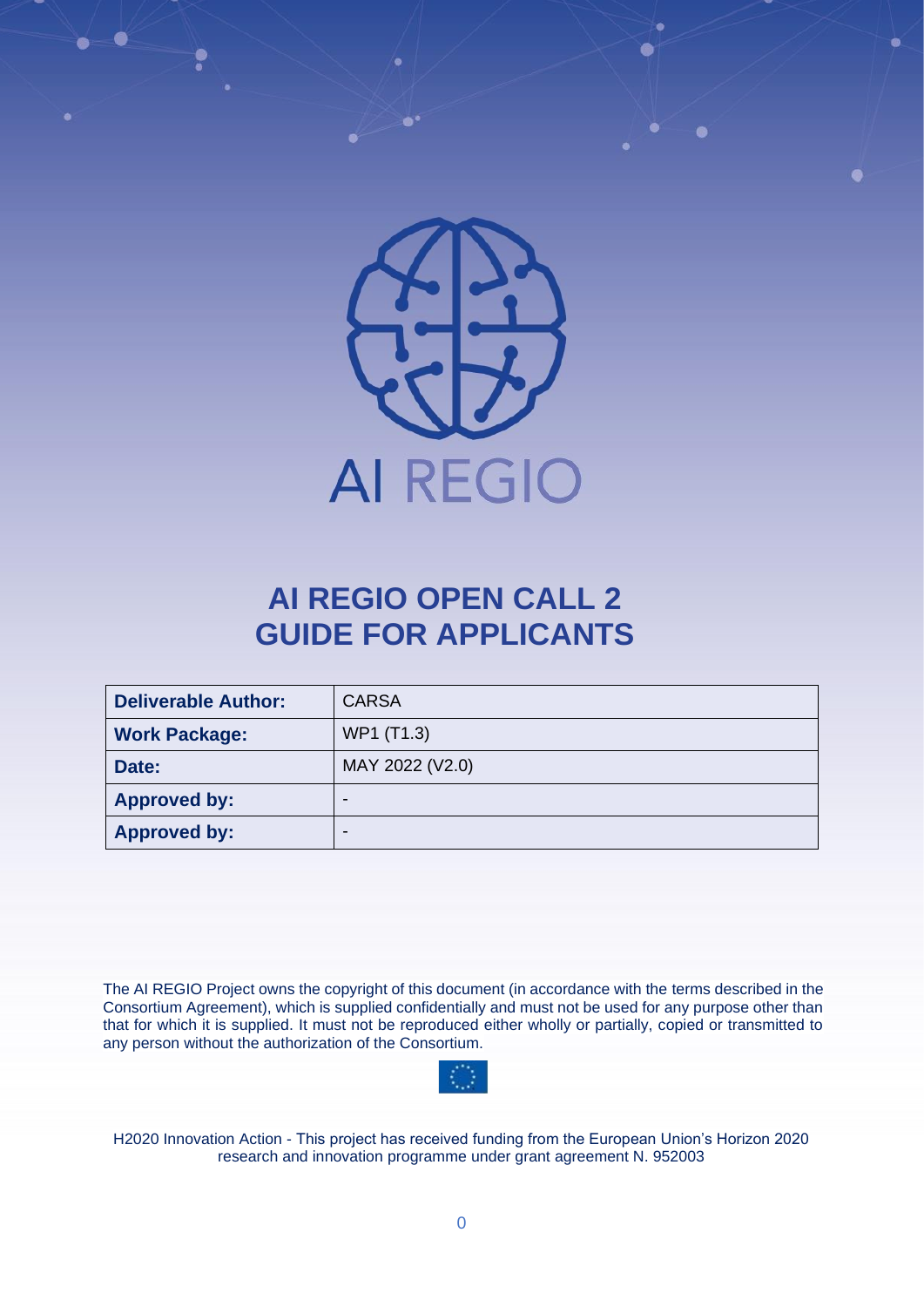

# **AI REGIO OPEN CALL 2 GUIDE FOR APPLICANTS**

| <b>Deliverable Author:</b> | <b>CARSA</b>    |
|----------------------------|-----------------|
| <b>Work Package:</b>       | WP1 (T1.3)      |
| Date:                      | MAY 2022 (V2.0) |
| <b>Approved by:</b>        | ۰               |
| <b>Approved by:</b>        |                 |

The AI REGIO Project owns the copyright of this document (in accordance with the terms described in the Consortium Agreement), which is supplied confidentially and must not be used for any purpose other than that for which it is supplied. It must not be reproduced either wholly or partially, copied or transmitted to any person without the authorization of the Consortium.



H2020 Innovation Action - This project has received funding from the European Union's Horizon 2020 research and innovation programme under grant agreement N. 952003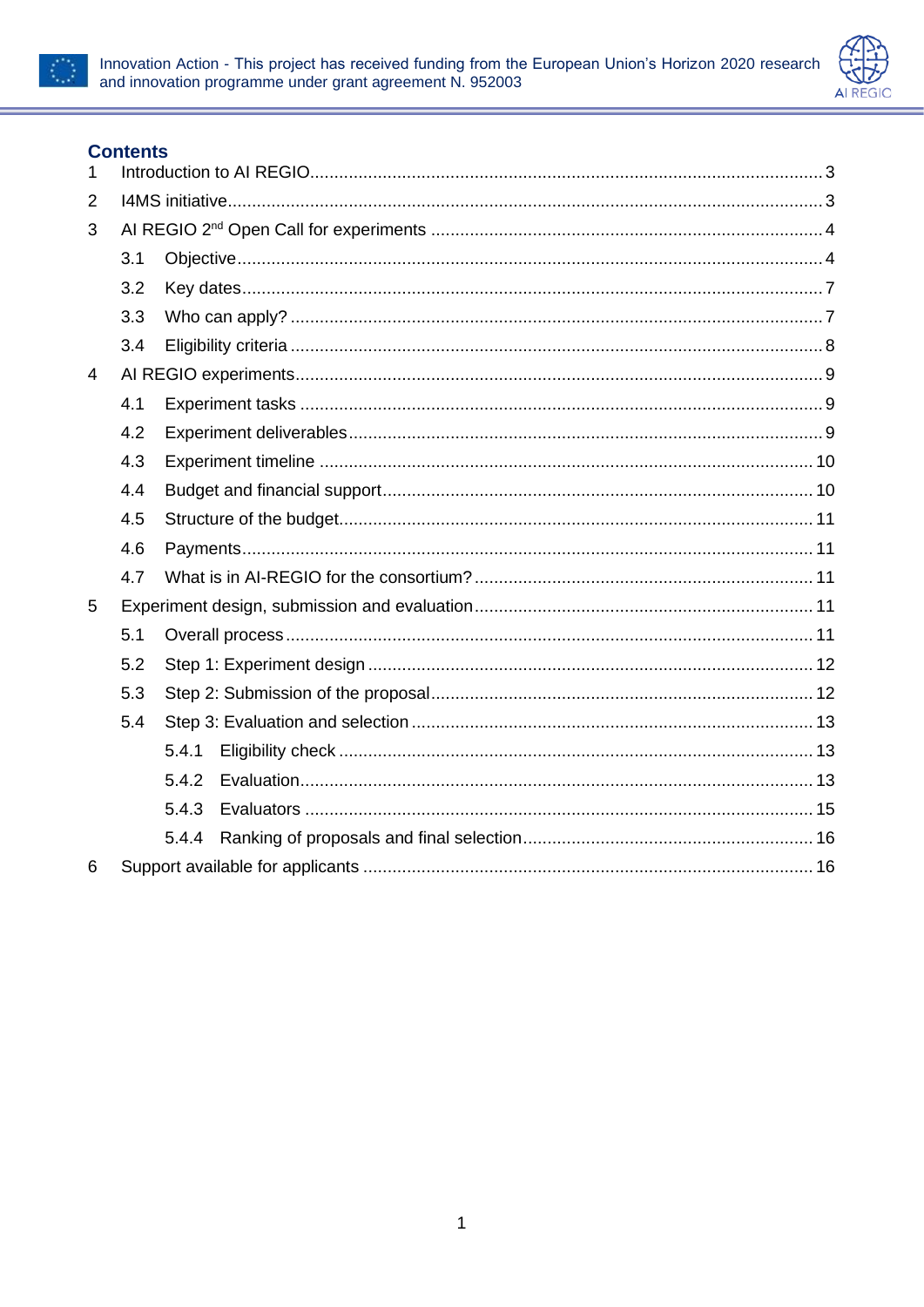



### **Contents**

| $\mathbf{1}$   |     |       |  |  |
|----------------|-----|-------|--|--|
| $\overline{2}$ |     |       |  |  |
| 3              |     |       |  |  |
|                | 3.1 |       |  |  |
|                | 3.2 |       |  |  |
|                | 3.3 |       |  |  |
|                | 3.4 |       |  |  |
| $\overline{4}$ |     |       |  |  |
|                | 4.1 |       |  |  |
|                | 4.2 |       |  |  |
|                | 4.3 |       |  |  |
|                | 4.4 |       |  |  |
|                | 4.5 |       |  |  |
|                | 4.6 |       |  |  |
|                | 4.7 |       |  |  |
| 5              |     |       |  |  |
|                | 5.1 |       |  |  |
|                | 5.2 |       |  |  |
|                | 5.3 |       |  |  |
|                | 5.4 |       |  |  |
|                |     | 5.4.1 |  |  |
|                |     | 5.4.2 |  |  |
|                |     | 5.4.3 |  |  |
|                |     | 5.4.4 |  |  |
| 6              |     |       |  |  |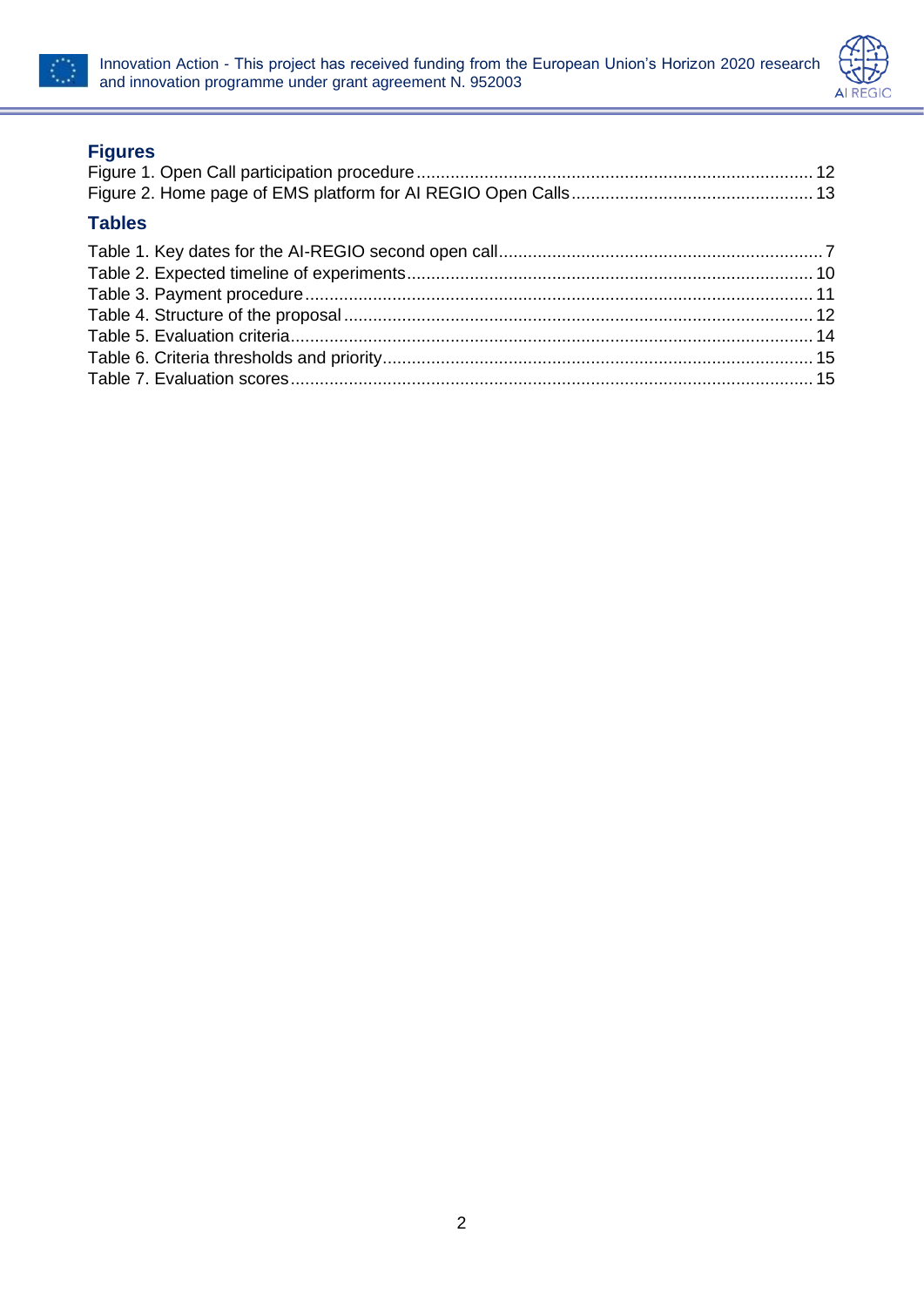



### **Figures**

| <b>Tables</b> |  |
|---------------|--|
|               |  |
|               |  |
|               |  |
|               |  |
|               |  |
|               |  |
|               |  |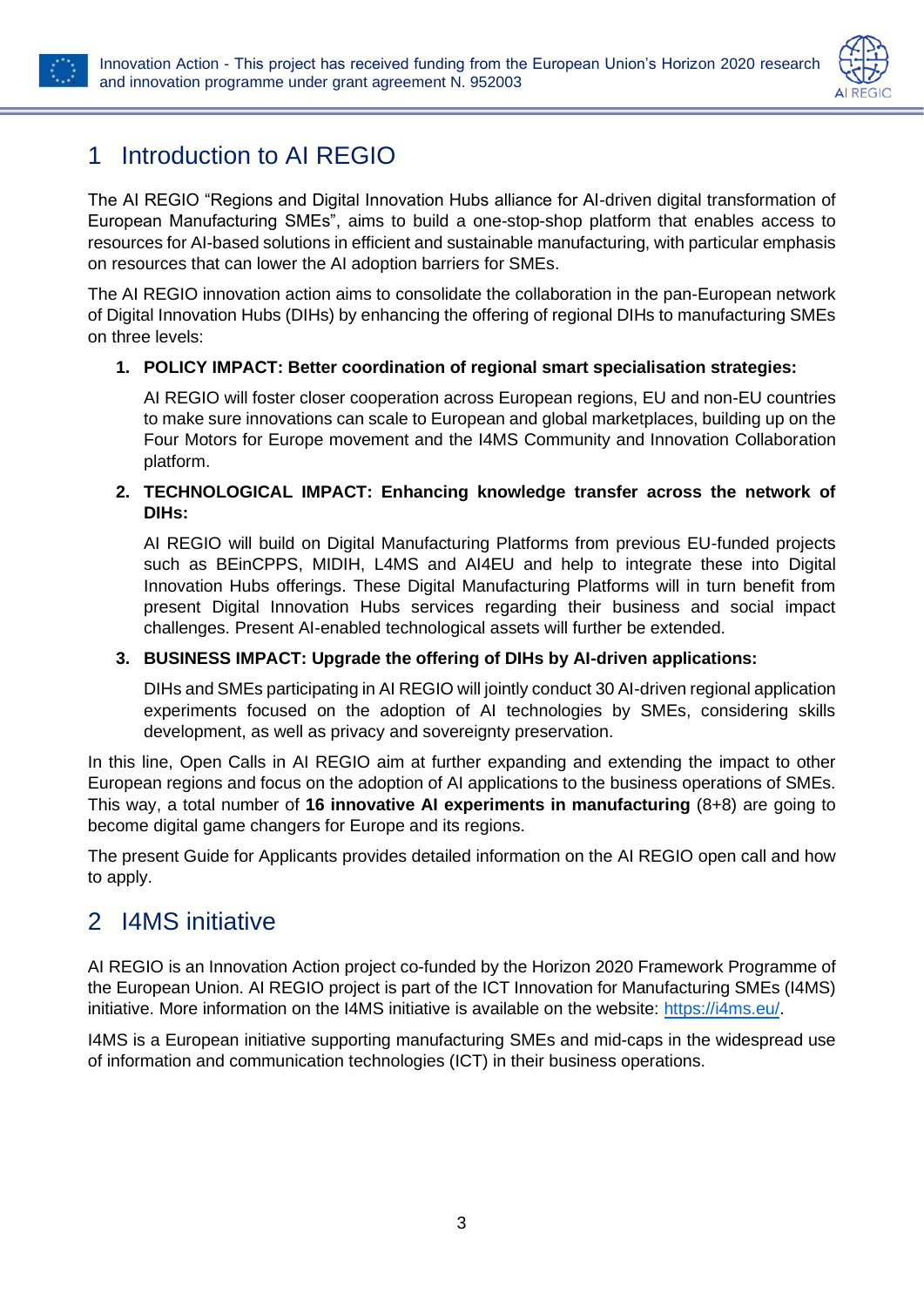

# <span id="page-3-0"></span>1 Introduction to AI REGIO

The AI REGIO "Regions and Digital Innovation Hubs alliance for AI-driven digital transformation of European Manufacturing SMEs", aims to build a one-stop-shop platform that enables access to resources for AI-based solutions in efficient and sustainable manufacturing, with particular emphasis on resources that can lower the AI adoption barriers for SMEs.

The AI REGIO innovation action aims to consolidate the collaboration in the pan-European network of Digital Innovation Hubs (DIHs) by enhancing the offering of regional DIHs to manufacturing SMEs on three levels:

### **1. POLICY IMPACT: Better coordination of regional smart specialisation strategies:**

AI REGIO will foster closer cooperation across European regions, EU and non-EU countries to make sure innovations can scale to European and global marketplaces, building up on the Four Motors for Europe movement and the I4MS Community and Innovation Collaboration platform.

#### **2. TECHNOLOGICAL IMPACT: Enhancing knowledge transfer across the network of DIHs:**

AI REGIO will build on Digital Manufacturing Platforms from previous EU-funded projects such as BEinCPPS, MIDIH, L4MS and AI4EU and help to integrate these into Digital Innovation Hubs offerings. These Digital Manufacturing Platforms will in turn benefit from present Digital Innovation Hubs services regarding their business and social impact challenges. Present AI-enabled technological assets will further be extended.

### **3. BUSINESS IMPACT: Upgrade the offering of DIHs by AI-driven applications:**

DIHs and SMEs participating in AI REGIO will jointly conduct 30 AI-driven regional application experiments focused on the adoption of AI technologies by SMEs, considering skills development, as well as privacy and sovereignty preservation.

In this line, Open Calls in AI REGIO aim at further expanding and extending the impact to other European regions and focus on the adoption of AI applications to the business operations of SMEs. This way, a total number of **16 innovative AI experiments in manufacturing** (8+8) are going to become digital game changers for Europe and its regions.

The present Guide for Applicants provides detailed information on the AI REGIO open call and how to apply.

## <span id="page-3-1"></span>2 I4MS initiative

AI REGIO is an Innovation Action project co-funded by the Horizon 2020 Framework Programme of the European Union. AI REGIO project is part of the ICT Innovation for Manufacturing SMEs (I4MS) initiative. More information on the I4MS initiative is available on the website: [https://i4ms.eu/.](https://i4ms.eu/)

I4MS is a European initiative supporting manufacturing SMEs and mid-caps in the widespread use of information and communication technologies (ICT) in their business operations.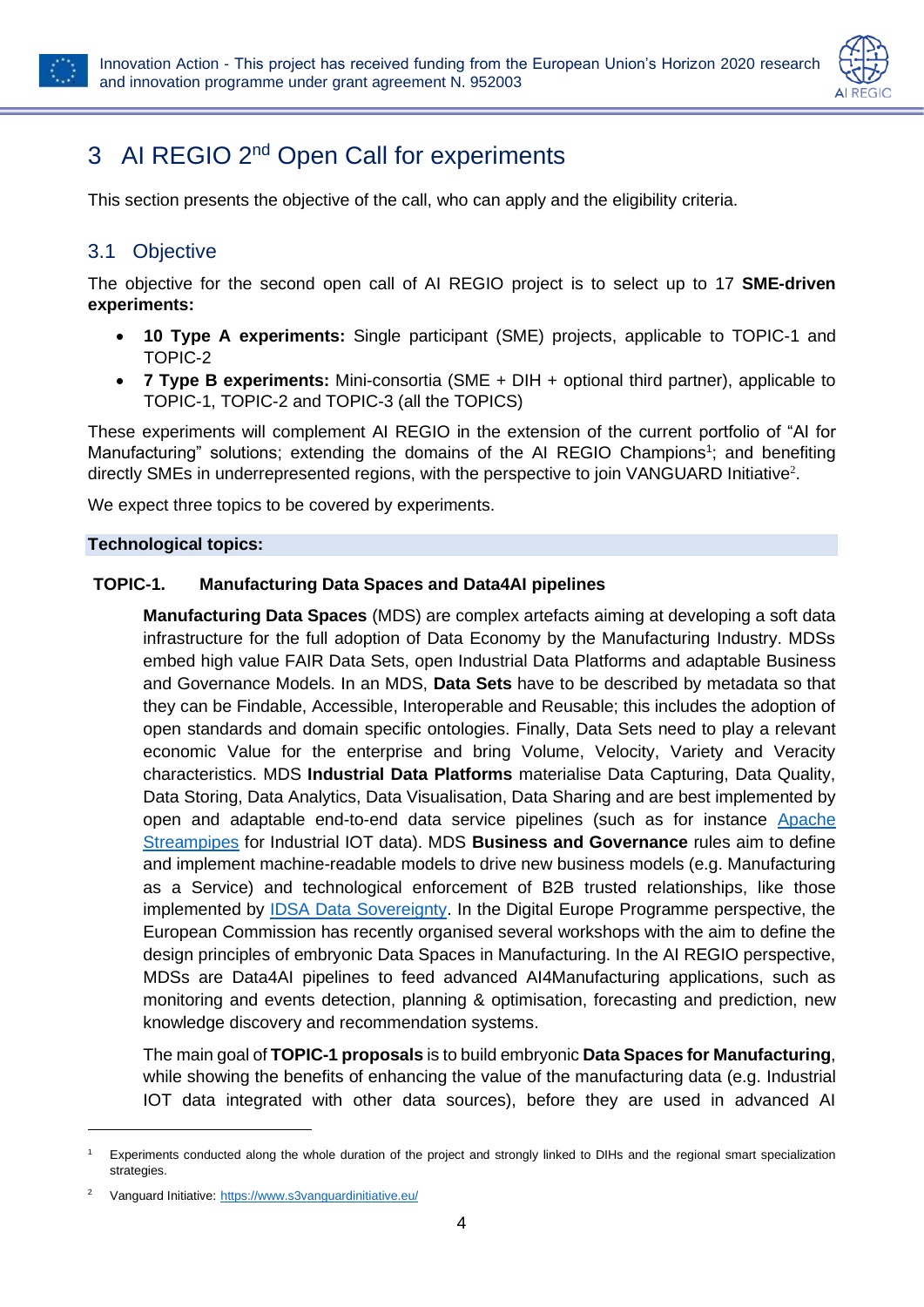



# <span id="page-4-0"></span>3 AI REGIO 2<sup>nd</sup> Open Call for experiments

This section presents the objective of the call, who can apply and the eligibility criteria.

### <span id="page-4-1"></span>3.1 Objective

The objective for the second open call of AI REGIO project is to select up to 17 **SME-driven experiments:**

- **10 Type A experiments:** Single participant (SME) projects, applicable to TOPIC-1 and TOPIC-2
- **7 Type B experiments:** Mini-consortia (SME + DIH + optional third partner), applicable to TOPIC-1, TOPIC-2 and TOPIC-3 (all the TOPICS)

These experiments will complement AI REGIO in the extension of the current portfolio of "AI for Manufacturing" solutions; extending the domains of the AI REGIO Champions<sup>1</sup>; and benefiting directly SMEs in underrepresented regions, with the perspective to join VANGUARD Initiative<sup>2</sup>.

We expect three topics to be covered by experiments.

#### **Technological topics:**

#### **TOPIC-1. Manufacturing Data Spaces and Data4AI pipelines**

**Manufacturing Data Spaces** (MDS) are complex artefacts aiming at developing a soft data infrastructure for the full adoption of Data Economy by the Manufacturing Industry. MDSs embed high value FAIR Data Sets, open Industrial Data Platforms and adaptable Business and Governance Models. In an MDS, **Data Sets** have to be described by metadata so that they can be Findable, Accessible, Interoperable and Reusable; this includes the adoption of open standards and domain specific ontologies. Finally, Data Sets need to play a relevant economic Value for the enterprise and bring Volume, Velocity, Variety and Veracity characteristics. MDS **Industrial Data Platforms** materialise Data Capturing, Data Quality, Data Storing, Data Analytics, Data Visualisation, Data Sharing and are best implemented by open and adaptable end-to-end data service pipelines (such as for instance [Apache](https://streampipes.apache.org/)  [Streampipes](https://streampipes.apache.org/) for Industrial IOT data). MDS **Business and Governance** rules aim to define and implement machine-readable models to drive new business models (e.g. Manufacturing as a Service) and technological enforcement of B2B trusted relationships, like those implemented by [IDSA Data Sovereignty.](https://internationaldataspaces.org/why/data-spaces/) In the Digital Europe Programme perspective, the European Commission has recently organised several workshops with the aim to define the design principles of embryonic Data Spaces in Manufacturing. In the AI REGIO perspective, MDSs are Data4AI pipelines to feed advanced AI4Manufacturing applications, such as monitoring and events detection, planning & optimisation, forecasting and prediction, new knowledge discovery and recommendation systems.

The main goal of **TOPIC-1 proposals** is to build embryonic **Data Spaces for Manufacturing**, while showing the benefits of enhancing the value of the manufacturing data (e.g. Industrial IOT data integrated with other data sources), before they are used in advanced AI

<sup>1</sup> Experiments conducted along the whole duration of the project and strongly linked to DIHs and the regional smart specialization **strategies** 

Vanguard Initiative: <https://www.s3vanguardinitiative.eu/>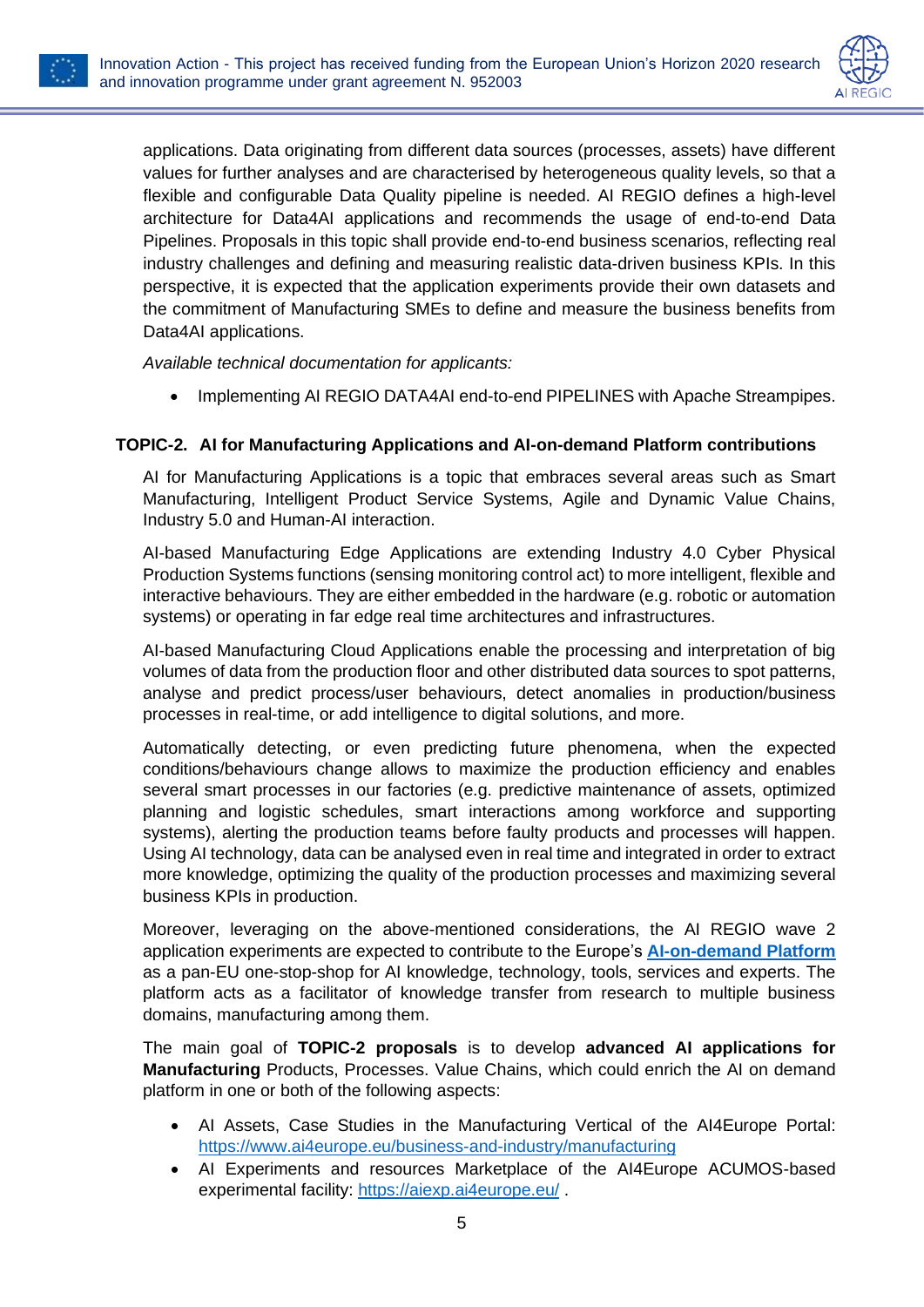



applications. Data originating from different data sources (processes, assets) have different values for further analyses and are characterised by heterogeneous quality levels, so that a flexible and configurable Data Quality pipeline is needed. AI REGIO defines a high-level architecture for Data4AI applications and recommends the usage of end-to-end Data Pipelines. Proposals in this topic shall provide end-to-end business scenarios, reflecting real industry challenges and defining and measuring realistic data-driven business KPIs. In this perspective, it is expected that the application experiments provide their own datasets and the commitment of Manufacturing SMEs to define and measure the business benefits from Data4AI applications.

*Available technical documentation for applicants:*

• Implementing AI REGIO DATA4AI end-to-end PIPELINES with Apache Streampipes.

#### **TOPIC-2. AI for Manufacturing Applications and AI-on-demand Platform contributions**

AI for Manufacturing Applications is a topic that embraces several areas such as Smart Manufacturing, Intelligent Product Service Systems, Agile and Dynamic Value Chains, Industry 5.0 and Human-AI interaction.

AI-based Manufacturing Edge Applications are extending Industry 4.0 Cyber Physical Production Systems functions (sensing monitoring control act) to more intelligent, flexible and interactive behaviours. They are either embedded in the hardware (e.g. robotic or automation systems) or operating in far edge real time architectures and infrastructures.

AI-based Manufacturing Cloud Applications enable the processing and interpretation of big volumes of data from the production floor and other distributed data sources to spot patterns, analyse and predict process/user behaviours, detect anomalies in production/business processes in real-time, or add intelligence to digital solutions, and more.

Automatically detecting, or even predicting future phenomena, when the expected conditions/behaviours change allows to maximize the production efficiency and enables several smart processes in our factories (e.g. predictive maintenance of assets, optimized planning and logistic schedules, smart interactions among workforce and supporting systems), alerting the production teams before faulty products and processes will happen. Using AI technology, data can be analysed even in real time and integrated in order to extract more knowledge, optimizing the quality of the production processes and maximizing several business KPIs in production.

Moreover, leveraging on the above-mentioned considerations, the AI REGIO wave 2 application experiments are expected to contribute to the Europe's **[AI-on-demand Platform](https://www.ai4europe.eu/)** as a pan-EU one-stop-shop for AI knowledge, technology, tools, services and experts. The platform acts as a facilitator of knowledge transfer from research to multiple business domains, manufacturing among them.

The main goal of **TOPIC-2 proposals** is to develop **advanced AI applications for Manufacturing** Products, Processes. Value Chains, which could enrich the AI on demand platform in one or both of the following aspects:

- AI Assets, Case Studies in the Manufacturing Vertical of the AI4Europe Portal: <https://www.ai4europe.eu/business-and-industry/manufacturing>
- AI Experiments and resources Marketplace of the AI4Europe ACUMOS-based experimental facility: <https://aiexp.ai4europe.eu/> .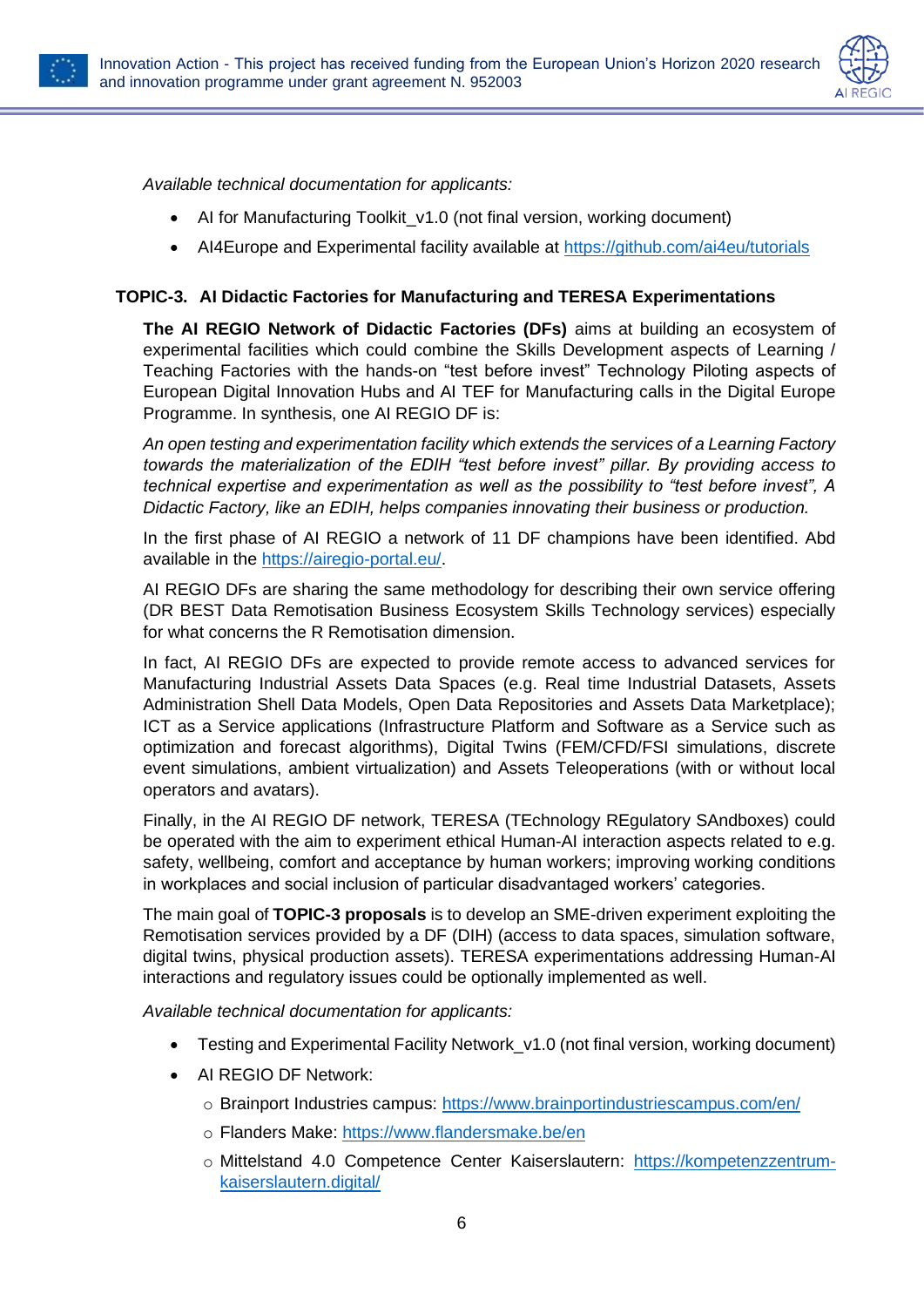



*Available technical documentation for applicants:*

- AI for Manufacturing Toolkit v1.0 (not final version, working document)
- AI4Europe and Experimental facility available at<https://github.com/ai4eu/tutorials>

### **TOPIC-3. AI Didactic Factories for Manufacturing and TERESA Experimentations**

**The AI REGIO Network of Didactic Factories (DFs)** aims at building an ecosystem of experimental facilities which could combine the Skills Development aspects of Learning / Teaching Factories with the hands-on "test before invest" Technology Piloting aspects of European Digital Innovation Hubs and AI TEF for Manufacturing calls in the Digital Europe Programme. In synthesis, one AI REGIO DF is:

*An open testing and experimentation facility which extends the services of a Learning Factory towards the materialization of the EDIH "test before invest" pillar. By providing access to technical expertise and experimentation as well as the possibility to "test before invest", A Didactic Factory, like an EDIH, helps companies innovating their business or production.* 

In the first phase of AI REGIO a network of 11 DF champions have been identified. Abd available in the [https://airegio-portal.eu/.](https://airegio-portal.eu/)

AI REGIO DFs are sharing the same methodology for describing their own service offering (DR BEST Data Remotisation Business Ecosystem Skills Technology services) especially for what concerns the R Remotisation dimension.

In fact, AI REGIO DFs are expected to provide remote access to advanced services for Manufacturing Industrial Assets Data Spaces (e.g. Real time Industrial Datasets, Assets Administration Shell Data Models, Open Data Repositories and Assets Data Marketplace); ICT as a Service applications (Infrastructure Platform and Software as a Service such as optimization and forecast algorithms), Digital Twins (FEM/CFD/FSI simulations, discrete event simulations, ambient virtualization) and Assets Teleoperations (with or without local operators and avatars).

Finally, in the AI REGIO DF network, TERESA (TEchnology REgulatory SAndboxes) could be operated with the aim to experiment ethical Human-AI interaction aspects related to e.g. safety, wellbeing, comfort and acceptance by human workers; improving working conditions in workplaces and social inclusion of particular disadvantaged workers' categories.

The main goal of **TOPIC-3 proposals** is to develop an SME-driven experiment exploiting the Remotisation services provided by a DF (DIH) (access to data spaces, simulation software, digital twins, physical production assets). TERESA experimentations addressing Human-AI interactions and regulatory issues could be optionally implemented as well.

*Available technical documentation for applicants:*

- Testing and Experimental Facility Network v1.0 (not final version, working document)
- AI REGIO DF Network:
	- o Brainport Industries campus:<https://www.brainportindustriescampus.com/en/>
	- o Flanders Make:<https://www.flandersmake.be/en>
	- o Mittelstand 4.0 Competence Center Kaiserslautern: [https://kompetenzzentrum](https://kompetenzzentrum-kaiserslautern.digital/)[kaiserslautern.digital/](https://kompetenzzentrum-kaiserslautern.digital/)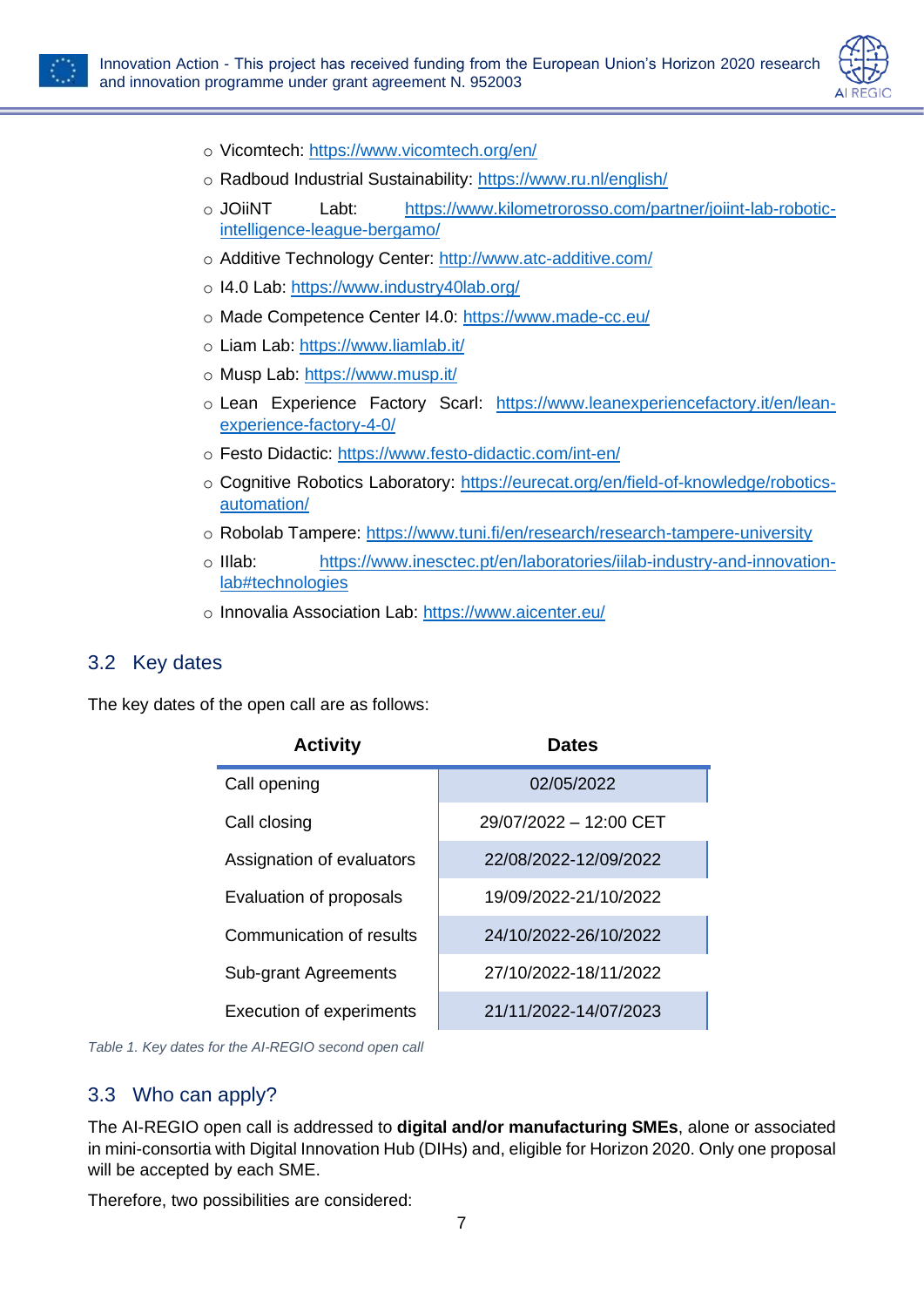



- o Vicomtech:<https://www.vicomtech.org/en/>
- o Radboud Industrial Sustainability:<https://www.ru.nl/english/>
- o JOiiNT Labt: [https://www.kilometrorosso.com/partner/joiint-lab-robotic](https://www.kilometrorosso.com/partner/joiint-lab-robotic-intelligence-league-bergamo/)[intelligence-league-bergamo/](https://www.kilometrorosso.com/partner/joiint-lab-robotic-intelligence-league-bergamo/)
- o Additive Technology Center:<http://www.atc-additive.com/>
- o I4.0 Lab:<https://www.industry40lab.org/>
- o Made Competence Center I4.0:<https://www.made-cc.eu/>
- o Liam Lab:<https://www.liamlab.it/>
- o Musp Lab:<https://www.musp.it/>
- o Lean Experience Factory Scarl: [https://www.leanexperiencefactory.it/en/lean](https://www.leanexperiencefactory.it/en/lean-experience-factory-4-0/)[experience-factory-4-0/](https://www.leanexperiencefactory.it/en/lean-experience-factory-4-0/)
- o Festo Didactic:<https://www.festo-didactic.com/int-en/>
- o Cognitive Robotics Laboratory: [https://eurecat.org/en/field-of-knowledge/robotics](https://eurecat.org/en/field-of-knowledge/robotics-automation/)[automation/](https://eurecat.org/en/field-of-knowledge/robotics-automation/)
- o Robolab Tampere:<https://www.tuni.fi/en/research/research-tampere-university>
- o IIlab: [https://www.inesctec.pt/en/laboratories/iilab-industry-and-innovation](https://www.inesctec.pt/en/laboratories/iilab-industry-and-innovation-lab#technologies)[lab#technologies](https://www.inesctec.pt/en/laboratories/iilab-industry-and-innovation-lab#technologies)
- o Innovalia Association Lab:<https://www.aicenter.eu/>

#### <span id="page-7-0"></span>3.2 Key dates

The key dates of the open call are as follows:

| <b>Activity</b>                 | <b>Dates</b>           |
|---------------------------------|------------------------|
| Call opening                    | 02/05/2022             |
| Call closing                    | 29/07/2022 - 12:00 CET |
| Assignation of evaluators       | 22/08/2022-12/09/2022  |
| Evaluation of proposals         | 19/09/2022-21/10/2022  |
| Communication of results        | 24/10/2022-26/10/2022  |
| <b>Sub-grant Agreements</b>     | 27/10/2022-18/11/2022  |
| <b>Execution of experiments</b> | 21/11/2022-14/07/2023  |

<span id="page-7-2"></span>*Table 1. Key dates for the AI-REGIO second open call*

### <span id="page-7-1"></span>3.3 Who can apply?

The AI-REGIO open call is addressed to **digital and/or manufacturing SMEs**, alone or associated in mini-consortia with Digital Innovation Hub (DIHs) and, eligible for Horizon 2020. Only one proposal will be accepted by each SME.

Therefore, two possibilities are considered: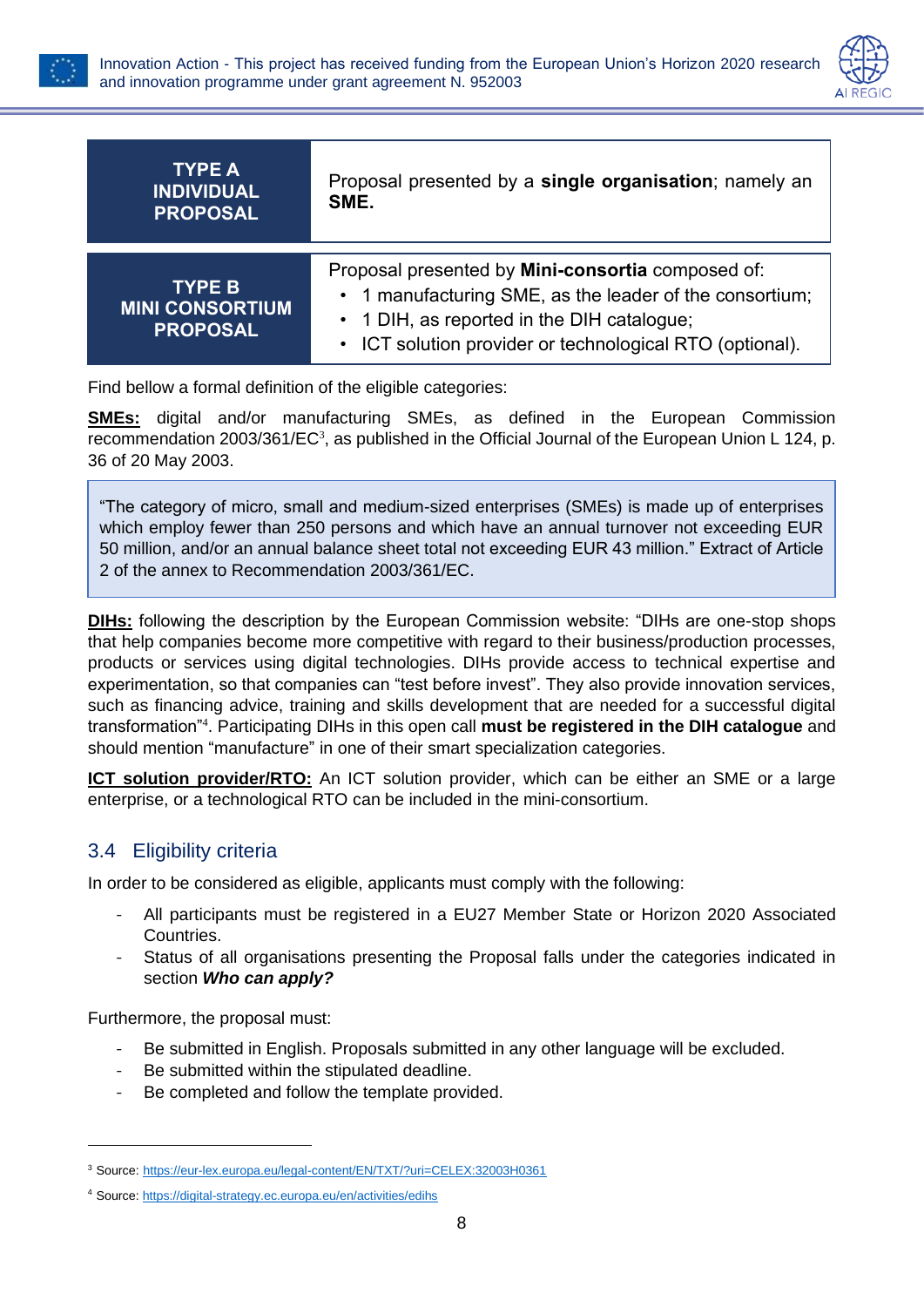



| TYPE A<br><b>INDIVIDUAL</b><br><b>PROPOSAL</b>             | Proposal presented by a single organisation; namely an<br>SME.                                                                                                                                                                    |
|------------------------------------------------------------|-----------------------------------------------------------------------------------------------------------------------------------------------------------------------------------------------------------------------------------|
| <b>TYPE B</b><br><b>MINI CONSORTIUM</b><br><b>PROPOSAL</b> | Proposal presented by Mini-consortia composed of:<br>• 1 manufacturing SME, as the leader of the consortium;<br>• 1 DIH, as reported in the DIH catalogue;<br>ICT solution provider or technological RTO (optional).<br>$\bullet$ |

Find bellow a formal definition of the eligible categories:

**SMEs:** digital and/or manufacturing SMEs, as defined in the European Commission recommendation 2003/361/ $EC^3$ , as published in the Official Journal of the European Union L 124, p. 36 of 20 May 2003.

"The category of micro, small and medium-sized enterprises (SMEs) is made up of enterprises which employ fewer than 250 persons and which have an annual turnover not exceeding EUR 50 million, and/or an annual balance sheet total not exceeding EUR 43 million." Extract of Article 2 of the annex to Recommendation 2003/361/EC.

**DIHs:** following the description by the European Commission website: "DIHs are one-stop shops that help companies become more competitive with regard to their business/production processes, products or services using digital technologies. DIHs provide access to technical expertise and experimentation, so that companies can "test before invest". They also provide innovation services, such as financing advice, training and skills development that are needed for a successful digital transformation"<sup>4</sup> . Participating DIHs in this open call **must be registered in the DIH catalogue** and should mention "manufacture" in one of their smart specialization categories.

**ICT solution provider/RTO:** An ICT solution provider, which can be either an SME or a large enterprise, or a technological RTO can be included in the mini-consortium.

### <span id="page-8-0"></span>3.4 Eligibility criteria

In order to be considered as eligible, applicants must comply with the following:

- All participants must be registered in a EU27 Member State or Horizon 2020 Associated Countries.
- Status of all organisations presenting the Proposal falls under the categories indicated in section *[Who can apply?](#page-7-1)*

Furthermore, the proposal must:

- Be submitted in English. Proposals submitted in any other language will be excluded.
- Be submitted within the stipulated deadline.
- Be completed and follow the template provided.

<sup>3</sup> Source: <https://eur-lex.europa.eu/legal-content/EN/TXT/?uri=CELEX:32003H0361>

<sup>4</sup> Source:<https://digital-strategy.ec.europa.eu/en/activities/edihs>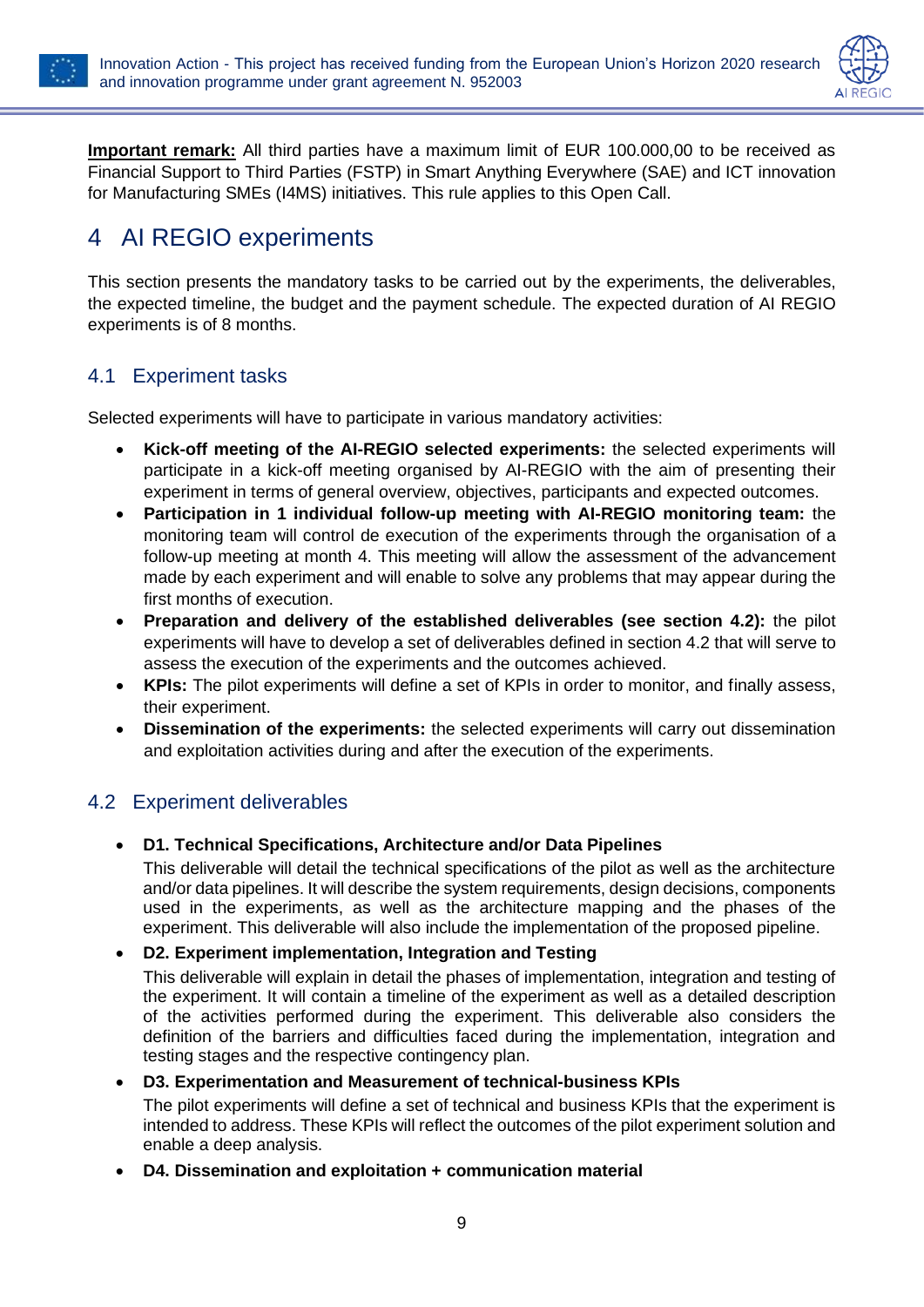



**Important remark:** All third parties have a maximum limit of EUR 100.000,00 to be received as Financial Support to Third Parties (FSTP) in Smart Anything Everywhere (SAE) and ICT innovation for Manufacturing SMEs (I4MS) initiatives. This rule applies to this Open Call.

## <span id="page-9-0"></span>4 AI REGIO experiments

This section presents the mandatory tasks to be carried out by the experiments, the deliverables, the expected timeline, the budget and the payment schedule. The expected duration of AI REGIO experiments is of 8 months.

### <span id="page-9-1"></span>4.1 Experiment tasks

Selected experiments will have to participate in various mandatory activities:

- **Kick-off meeting of the AI-REGIO selected experiments:** the selected experiments will participate in a kick-off meeting organised by AI-REGIO with the aim of presenting their experiment in terms of general overview, objectives, participants and expected outcomes.
- **Participation in 1 individual follow-up meeting with AI-REGIO monitoring team:** the monitoring team will control de execution of the experiments through the organisation of a follow-up meeting at month 4. This meeting will allow the assessment of the advancement made by each experiment and will enable to solve any problems that may appear during the first months of execution.
- **Preparation and delivery of the established deliverables (see section [4.2\)](#page-9-2):** the pilot experiments will have to develop a set of deliverables defined in section [4.2](#page-9-2) that will serve to assess the execution of the experiments and the outcomes achieved.
- **KPIs:** The pilot experiments will define a set of KPIs in order to monitor, and finally assess, their experiment.
- **Dissemination of the experiments:** the selected experiments will carry out dissemination and exploitation activities during and after the execution of the experiments.

### <span id="page-9-2"></span>4.2 Experiment deliverables

• **D1. Technical Specifications, Architecture and/or Data Pipelines**

This deliverable will detail the technical specifications of the pilot as well as the architecture and/or data pipelines. It will describe the system requirements, design decisions, components used in the experiments, as well as the architecture mapping and the phases of the experiment. This deliverable will also include the implementation of the proposed pipeline.

#### • **D2. Experiment implementation, Integration and Testing**

This deliverable will explain in detail the phases of implementation, integration and testing of the experiment. It will contain a timeline of the experiment as well as a detailed description of the activities performed during the experiment. This deliverable also considers the definition of the barriers and difficulties faced during the implementation, integration and testing stages and the respective contingency plan.

#### • **D3. Experimentation and Measurement of technical-business KPIs**

The pilot experiments will define a set of technical and business KPIs that the experiment is intended to address. These KPIs will reflect the outcomes of the pilot experiment solution and enable a deep analysis.

• **D4. Dissemination and exploitation + communication material**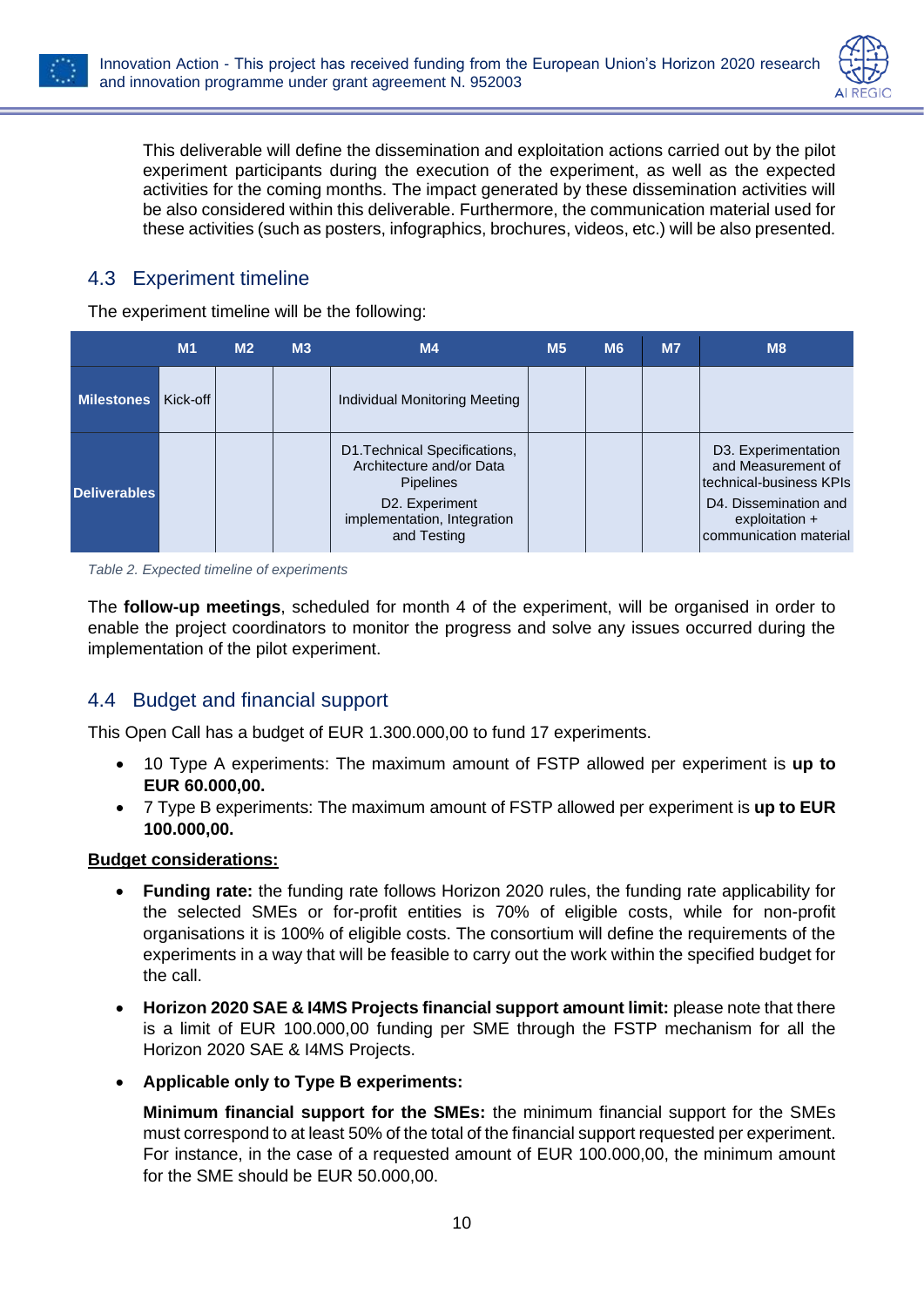



This deliverable will define the dissemination and exploitation actions carried out by the pilot experiment participants during the execution of the experiment, as well as the expected activities for the coming months. The impact generated by these dissemination activities will be also considered within this deliverable. Furthermore, the communication material used for these activities (such as posters, infographics, brochures, videos, etc.) will be also presented.

### <span id="page-10-0"></span>4.3 Experiment timeline

The experiment timeline will be the following:

|                     | M <sub>1</sub> | M <sub>2</sub> | M3 | M4                                                                                                                                            | M <sub>5</sub> | <b>M6</b> | M <sub>7</sub> | M8                                                                                                                                         |
|---------------------|----------------|----------------|----|-----------------------------------------------------------------------------------------------------------------------------------------------|----------------|-----------|----------------|--------------------------------------------------------------------------------------------------------------------------------------------|
| <b>Milestones</b>   | Kick-off       |                |    | Individual Monitoring Meeting                                                                                                                 |                |           |                |                                                                                                                                            |
| <b>Deliverables</b> |                |                |    | D1. Technical Specifications,<br>Architecture and/or Data<br><b>Pipelines</b><br>D2. Experiment<br>implementation, Integration<br>and Testing |                |           |                | D3. Experimentation<br>and Measurement of<br>Itechnical-business KPIs<br>D4. Dissemination and<br>exploitation +<br>communication material |

<span id="page-10-2"></span>*Table 2. Expected timeline of experiments*

The **follow-up meetings**, scheduled for month 4 of the experiment, will be organised in order to enable the project coordinators to monitor the progress and solve any issues occurred during the implementation of the pilot experiment.

### <span id="page-10-1"></span>4.4 Budget and financial support

This Open Call has a budget of EUR 1.300.000,00 to fund 17 experiments.

- 10 Type A experiments: The maximum amount of FSTP allowed per experiment is **up to EUR 60.000,00.**
- 7 Type B experiments: The maximum amount of FSTP allowed per experiment is **up to EUR 100.000,00.**

#### **Budget considerations:**

- **Funding rate:** the funding rate follows Horizon 2020 rules, the funding rate applicability for the selected SMEs or for-profit entities is 70% of eligible costs, while for non-profit organisations it is 100% of eligible costs. The consortium will define the requirements of the experiments in a way that will be feasible to carry out the work within the specified budget for the call.
- **Horizon 2020 SAE & I4MS Projects financial support amount limit:** please note that there is a limit of EUR 100.000,00 funding per SME through the FSTP mechanism for all the Horizon 2020 SAE & I4MS Projects.
- **Applicable only to Type B experiments:**

**Minimum financial support for the SMEs:** the minimum financial support for the SMEs must correspond to at least 50% of the total of the financial support requested per experiment. For instance, in the case of a requested amount of EUR 100.000,00, the minimum amount for the SME should be EUR 50.000,00.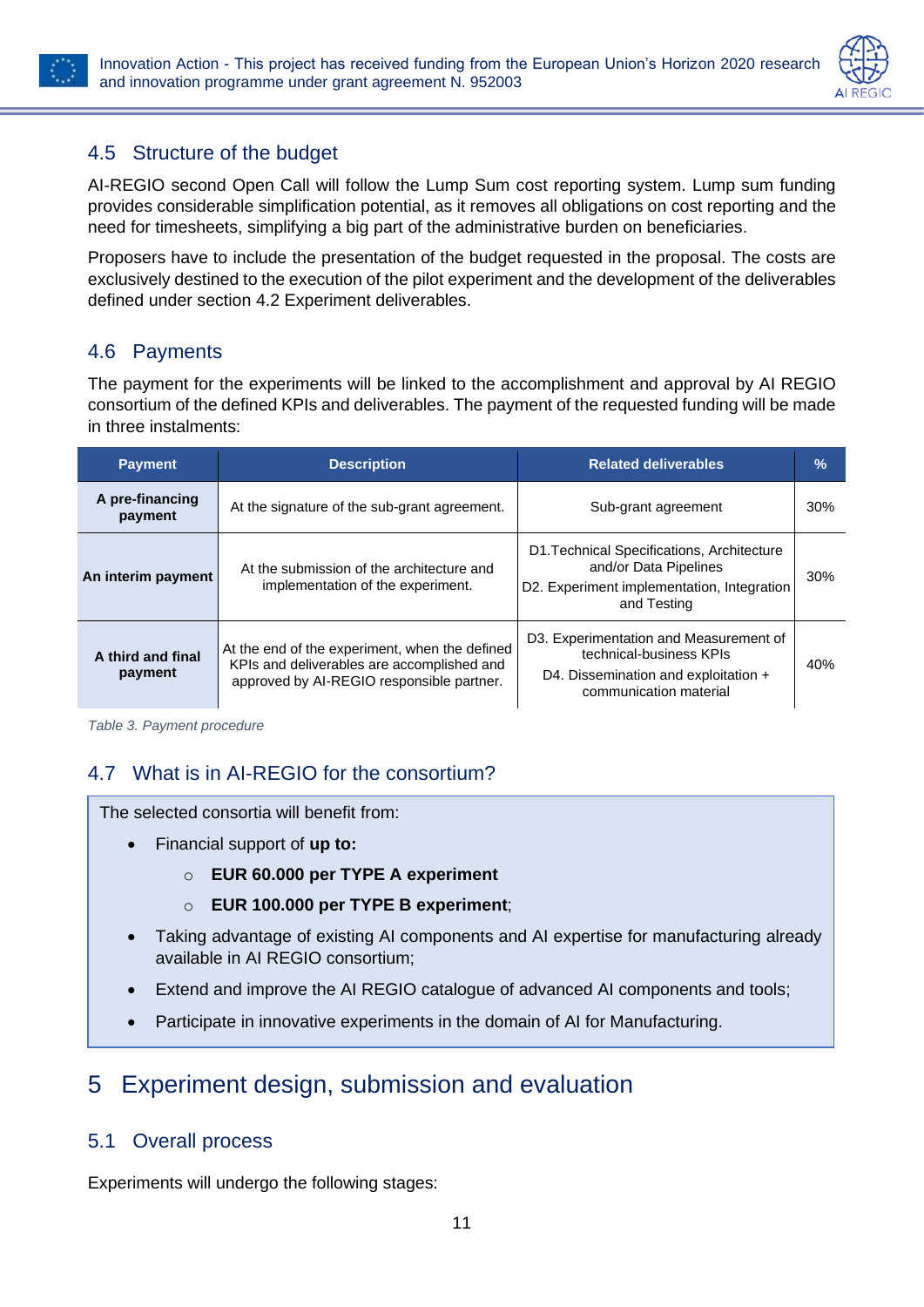



### <span id="page-11-0"></span>4.5 Structure of the budget

AI-REGIO second Open Call will follow the Lump Sum cost reporting system. Lump sum funding provides considerable simplification potential, as it removes all obligations on cost reporting and the need for timesheets, simplifying a big part of the administrative burden on beneficiaries.

Proposers have to include the presentation of the budget requested in the proposal. The costs are exclusively destined to the execution of the pilot experiment and the development of the deliverables defined under section [4.2](#page-9-2) [Experiment deliverables.](#page-9-2)

### <span id="page-11-1"></span>4.6 Payments

The payment for the experiments will be linked to the accomplishment and approval by AI REGIO consortium of the defined KPIs and deliverables. The payment of the requested funding will be made in three instalments:

| <b>Payment</b>               | <b>Description</b>                                                                                                                        | <b>Related deliverables</b>                                                                                                         |     |  |
|------------------------------|-------------------------------------------------------------------------------------------------------------------------------------------|-------------------------------------------------------------------------------------------------------------------------------------|-----|--|
| A pre-financing<br>payment   | At the signature of the sub-grant agreement.                                                                                              | Sub-grant agreement                                                                                                                 | 30% |  |
| An interim payment           | At the submission of the architecture and<br>implementation of the experiment.                                                            | D1. Technical Specifications, Architecture<br>and/or Data Pipelines<br>D2. Experiment implementation, Integration<br>and Testing    | 30% |  |
| A third and final<br>payment | At the end of the experiment, when the defined<br>KPIs and deliverables are accomplished and<br>approved by AI-REGIO responsible partner. | D3. Experimentation and Measurement of<br>technical-business KPIs<br>D4. Dissemination and exploitation +<br>communication material | 40% |  |

<span id="page-11-5"></span>*Table 3. Payment procedure*

## <span id="page-11-2"></span>4.7 What is in AI-REGIO for the consortium?

The selected consortia will benefit from:

- Financial support of **up to:**
	- o **EUR 60.000 per TYPE A experiment**
	- o **EUR 100.000 per TYPE B experiment**;
- Taking advantage of existing AI components and AI expertise for manufacturing already available in AI REGIO consortium;
- Extend and improve the AI REGIO catalogue of advanced AI components and tools;
- Participate in innovative experiments in the domain of AI for Manufacturing.

## <span id="page-11-3"></span>5 Experiment design, submission and evaluation

### <span id="page-11-4"></span>5.1 Overall process

Experiments will undergo the following stages: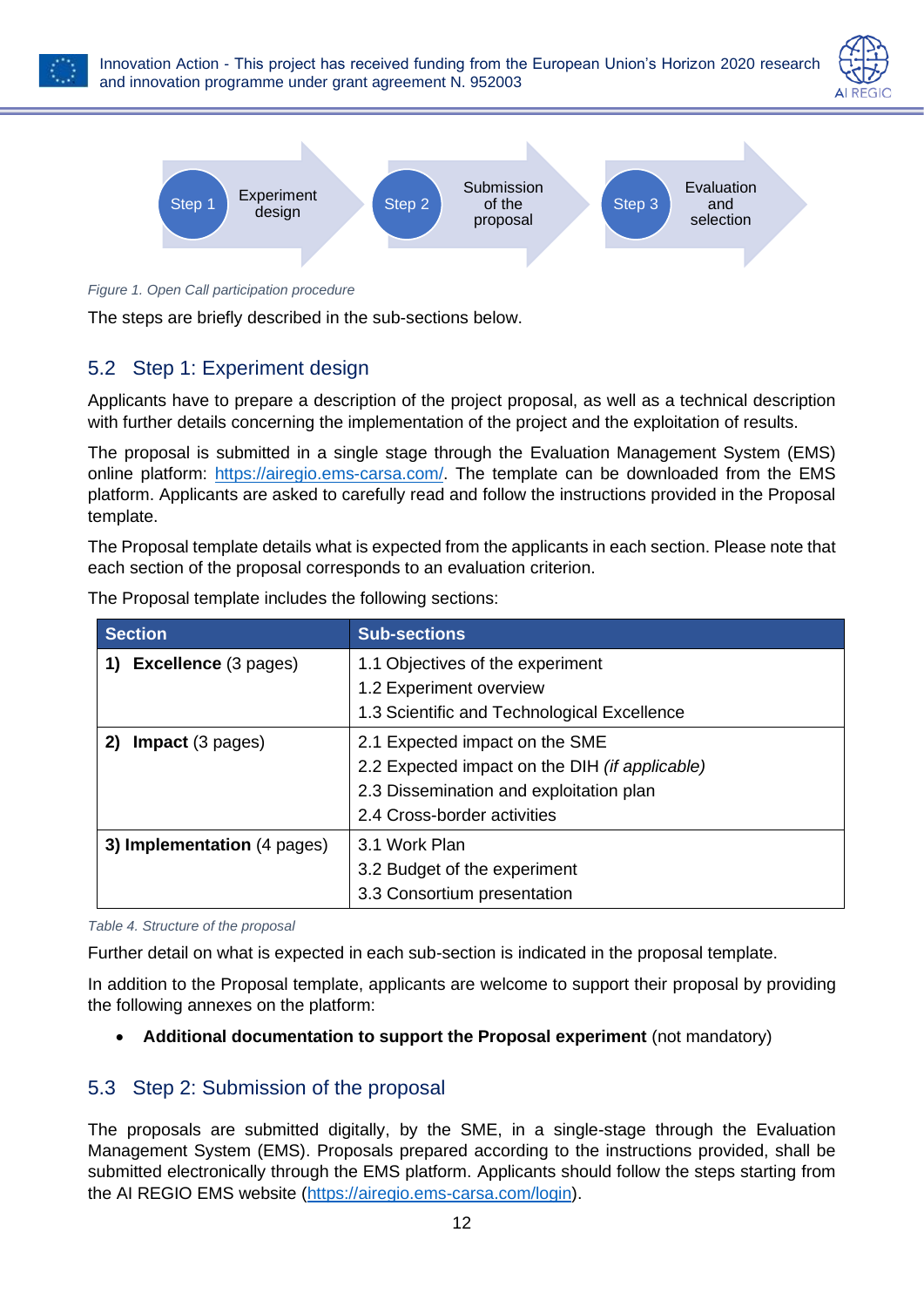





<span id="page-12-2"></span>*Figure 1. Open Call participation procedure*

The steps are briefly described in the sub-sections below.

### <span id="page-12-0"></span>5.2 Step 1: Experiment design

Applicants have to prepare a description of the project proposal, as well as a technical description with further details concerning the implementation of the project and the exploitation of results.

The proposal is submitted in a single stage through the Evaluation Management System (EMS) online platform: [https://airegio.ems-carsa.com/.](https://airegio.ems-carsa.com/) The template can be downloaded from the EMS platform. Applicants are asked to carefully read and follow the instructions provided in the Proposal template.

The Proposal template details what is expected from the applicants in each section. Please note that each section of the proposal corresponds to an evaluation criterion.

| The Proposal template includes the following sections: |
|--------------------------------------------------------|
|--------------------------------------------------------|

| <b>Section</b>              | <b>Sub-sections</b>                            |
|-----------------------------|------------------------------------------------|
| <b>Excellence</b> (3 pages) | 1.1 Objectives of the experiment               |
|                             | 1.2 Experiment overview                        |
|                             | 1.3 Scientific and Technological Excellence    |
| Impact (3 pages)<br>2)      | 2.1 Expected impact on the SME                 |
|                             | 2.2 Expected impact on the DIH (if applicable) |
|                             | 2.3 Dissemination and exploitation plan        |
|                             | 2.4 Cross-border activities                    |
| 3) Implementation (4 pages) | 3.1 Work Plan                                  |
|                             | 3.2 Budget of the experiment                   |
|                             | 3.3 Consortium presentation                    |

<span id="page-12-3"></span>*Table 4. Structure of the proposal*

Further detail on what is expected in each sub-section is indicated in the proposal template.

In addition to the Proposal template, applicants are welcome to support their proposal by providing the following annexes on the platform:

#### • **Additional documentation to support the Proposal experiment** (not mandatory)

### <span id="page-12-1"></span>5.3 Step 2: Submission of the proposal

The proposals are submitted digitally, by the SME, in a single-stage through the Evaluation Management System (EMS). Proposals prepared according to the instructions provided, shall be submitted electronically through the EMS platform. Applicants should follow the steps starting from the AI REGIO EMS website [\(https://airegio.ems-carsa.com/login\)](https://airegio.ems-carsa.com/login).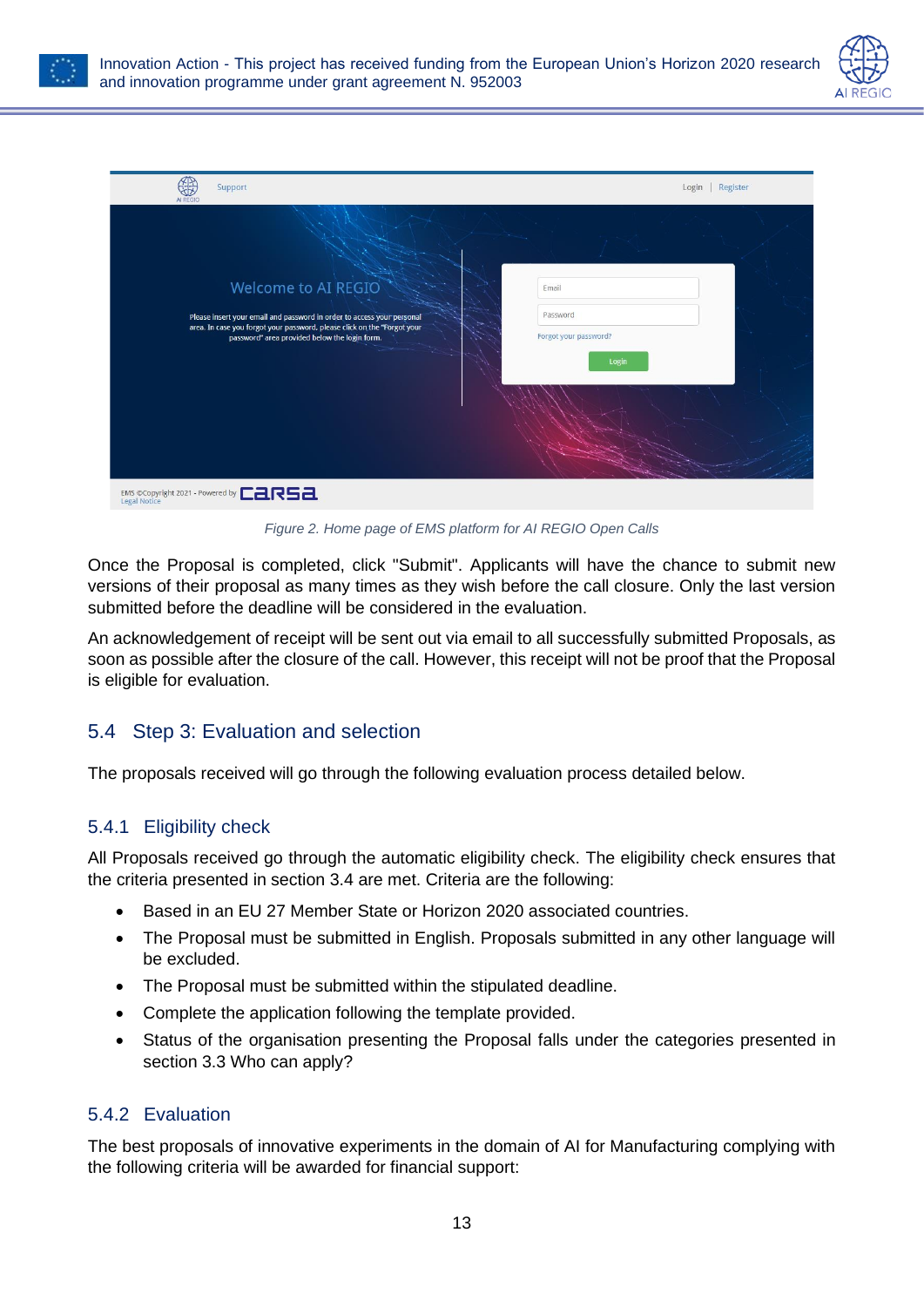





*Figure 2. Home page of EMS platform for AI REGIO Open Calls*

<span id="page-13-3"></span>Once the Proposal is completed, click "Submit". Applicants will have the chance to submit new versions of their proposal as many times as they wish before the call closure. Only the last version submitted before the deadline will be considered in the evaluation.

An acknowledgement of receipt will be sent out via email to all successfully submitted Proposals, as soon as possible after the closure of the call. However, this receipt will not be proof that the Proposal is eligible for evaluation.

### <span id="page-13-0"></span>5.4 Step 3: Evaluation and selection

The proposals received will go through the following evaluation process detailed below.

### <span id="page-13-1"></span>5.4.1 Eligibility check

All Proposals received go through the automatic eligibility check. The eligibility check ensures that the criteria presented in section [3.4](#page-8-0) are met. Criteria are the following:

- Based in an EU 27 Member State or Horizon 2020 associated countries.
- The Proposal must be submitted in English. Proposals submitted in any other language will be excluded.
- The Proposal must be submitted within the stipulated deadline.
- Complete the application following the template provided.
- Status of the organisation presenting the Proposal falls under the categories presented in section [3.3](#page-7-1) [Who can apply?](#page-7-1)

#### <span id="page-13-2"></span>5.4.2 Evaluation

The best proposals of innovative experiments in the domain of AI for Manufacturing complying with the following criteria will be awarded for financial support: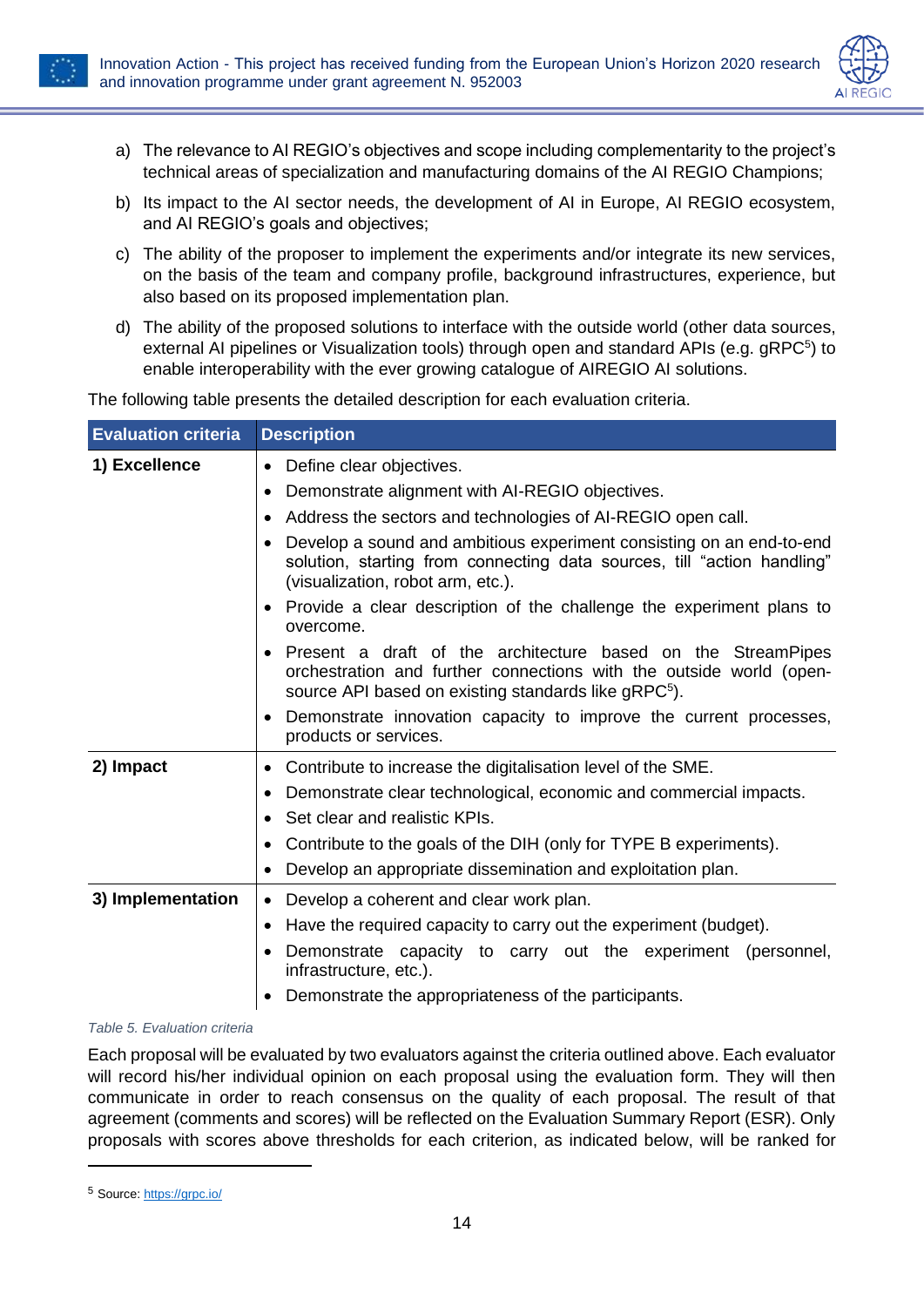<span id="page-14-1"></span>

- a) The relevance to AI REGIO's objectives and scope including complementarity to the project's technical areas of specialization and manufacturing domains of the AI REGIO Champions;
- b) Its impact to the AI sector needs, the development of AI in Europe, AI REGIO ecosystem, and AI REGIO's goals and objectives;
- c) The ability of the proposer to implement the experiments and/or integrate its new services, on the basis of the team and company profile, background infrastructures, experience, but also based on its proposed implementation plan.
- d) The ability of the proposed solutions to interface with the outside world (other data sources, external AI pipelines or Visualization tools) through open and standard APIs (e.g. gRPC<sup>5</sup>) to enable interoperability with the ever growing catalogue of AIREGIO AI solutions.

The following table presents the detailed description for each evaluation criteria.

| <b>Evaluation criteria</b> | <b>Description</b>                                                                                                                                                                                                   |
|----------------------------|----------------------------------------------------------------------------------------------------------------------------------------------------------------------------------------------------------------------|
| 1) Excellence              | Define clear objectives.<br>$\bullet$                                                                                                                                                                                |
|                            | Demonstrate alignment with AI-REGIO objectives.<br>$\bullet$                                                                                                                                                         |
|                            | Address the sectors and technologies of AI-REGIO open call.                                                                                                                                                          |
|                            | Develop a sound and ambitious experiment consisting on an end-to-end<br>solution, starting from connecting data sources, till "action handling"<br>(visualization, robot arm, etc.).                                 |
|                            | Provide a clear description of the challenge the experiment plans to<br>overcome.                                                                                                                                    |
|                            | Present a draft of the architecture based on the StreamPipes<br>$\bullet$<br>orchestration and further connections with the outside world (open-<br>source API based on existing standards like gRPC <sup>5</sup> ). |
|                            | Demonstrate innovation capacity to improve the current processes,<br>products or services.                                                                                                                           |
| 2) Impact                  | Contribute to increase the digitalisation level of the SME.<br>٠                                                                                                                                                     |
|                            | Demonstrate clear technological, economic and commercial impacts.                                                                                                                                                    |
|                            | Set clear and realistic KPIs.<br>$\bullet$                                                                                                                                                                           |
|                            | Contribute to the goals of the DIH (only for TYPE B experiments).<br>$\bullet$                                                                                                                                       |
|                            | Develop an appropriate dissemination and exploitation plan.                                                                                                                                                          |
| 3) Implementation          | Develop a coherent and clear work plan.<br>$\bullet$                                                                                                                                                                 |
|                            | Have the required capacity to carry out the experiment (budget).<br>$\bullet$                                                                                                                                        |
|                            | Demonstrate capacity to carry out the experiment (personnel,<br>infrastructure, etc.).                                                                                                                               |
|                            | Demonstrate the appropriateness of the participants.                                                                                                                                                                 |

#### <span id="page-14-0"></span>*Table 5. Evaluation criteria*

Each proposal will be evaluated by two evaluators against the criteria outlined above. Each evaluator will record his/her individual opinion on each proposal using the evaluation form. They will then communicate in order to reach consensus on the quality of each proposal. The result of that agreement (comments and scores) will be reflected on the Evaluation Summary Report (ESR). Only proposals with scores above thresholds for each criterion, as indicated below, will be ranked for

<sup>5</sup> Source[: https://grpc.io/](https://grpc.io/)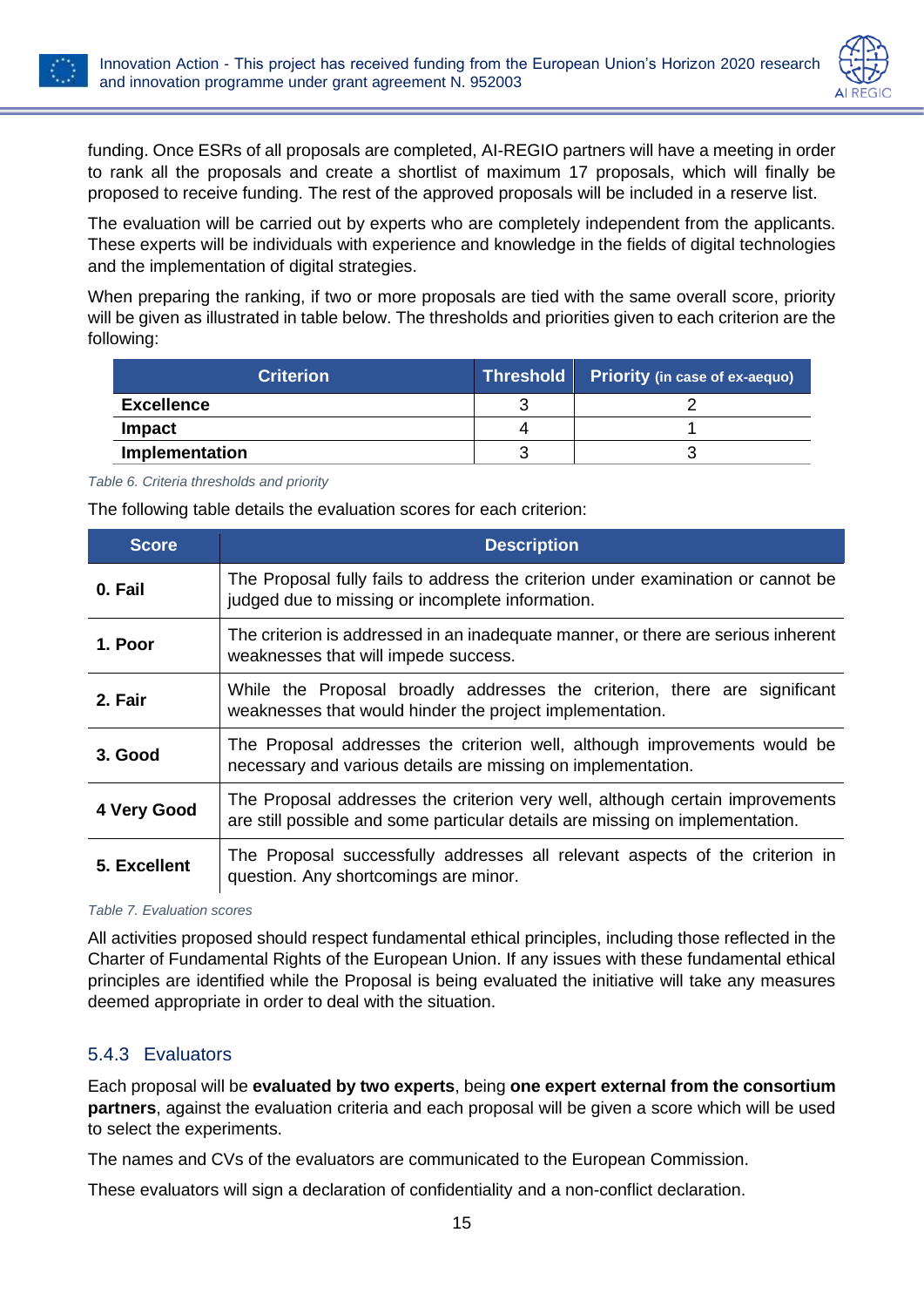



funding. Once ESRs of all proposals are completed, AI-REGIO partners will have a meeting in order to rank all the proposals and create a shortlist of maximum 17 proposals, which will finally be proposed to receive funding. The rest of the approved proposals will be included in a reserve list.

The evaluation will be carried out by experts who are completely independent from the applicants. These experts will be individuals with experience and knowledge in the fields of digital technologies and the implementation of digital strategies.

When preparing the ranking, if two or more proposals are tied with the same overall score, priority will be given as illustrated in table below. The thresholds and priorities given to each criterion are the following:

| <b>Criterion</b>      |   | Threshold Priority (in case of ex-aequo) |
|-----------------------|---|------------------------------------------|
| <b>Excellence</b>     |   |                                          |
| <b>Impact</b>         | 4 |                                          |
| <b>Implementation</b> |   |                                          |

<span id="page-15-1"></span>*Table 6. Criteria thresholds and priority*

The following table details the evaluation scores for each criterion:

| <b>Score</b> | <b>Description</b>                                                                                                                                             |
|--------------|----------------------------------------------------------------------------------------------------------------------------------------------------------------|
| 0. Fail      | The Proposal fully fails to address the criterion under examination or cannot be<br>judged due to missing or incomplete information.                           |
| 1. Poor      | The criterion is addressed in an inadequate manner, or there are serious inherent<br>weaknesses that will impede success.                                      |
| 2. Fair      | While the Proposal broadly addresses the criterion, there are significant<br>weaknesses that would hinder the project implementation.                          |
| 3. Good      | The Proposal addresses the criterion well, although improvements would be<br>necessary and various details are missing on implementation.                      |
| 4 Very Good  | The Proposal addresses the criterion very well, although certain improvements<br>are still possible and some particular details are missing on implementation. |
| 5. Excellent | The Proposal successfully addresses all relevant aspects of the criterion in<br>question. Any shortcomings are minor.                                          |

<span id="page-15-2"></span>*Table 7. Evaluation scores*

All activities proposed should respect fundamental ethical principles, including those reflected in the Charter of Fundamental Rights of the European Union. If any issues with these fundamental ethical principles are identified while the Proposal is being evaluated the initiative will take any measures deemed appropriate in order to deal with the situation.

#### <span id="page-15-0"></span>5.4.3 Evaluators

Each proposal will be **evaluated by two experts**, being **one expert external from the consortium partners**, against the evaluation criteria and each proposal will be given a score which will be used to select the experiments.

The names and CVs of the evaluators are communicated to the European Commission.

These evaluators will sign a declaration of confidentiality and a non-conflict declaration.